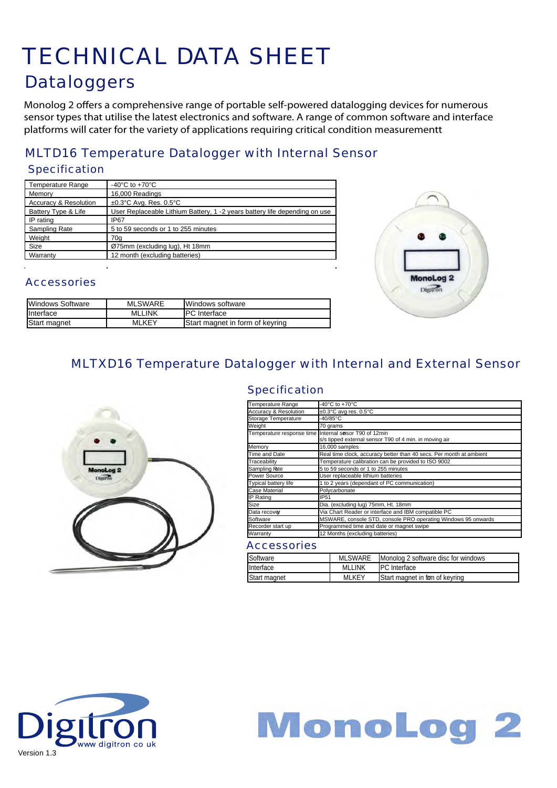## TECHNICAL DATA SHEET **Dataloggers**

Monolog 2 offers a comprehensive range of portable self-powered datalogging devices for numerous sensor types that utilise the latest electronics and software. A range of common software and interface platforms will cater for the variety of applications requiring critical condition measurementt

## MLTD16 Temperature Datalogger with Internal Sensor

#### **Specification**

| -40 $^{\circ}$ C to +70 $^{\circ}$ C                                       |
|----------------------------------------------------------------------------|
| 16,000 Readings                                                            |
| $\pm 0.3$ °C Avg. Res. 0.5°C                                               |
| User Replaceable Lithium Battery, 1 -2 years battery life depending on use |
| IP <sub>67</sub>                                                           |
| 5 to 59 seconds or 1 to 255 minutes                                        |
| 70a                                                                        |
| Ø75mm (excluding lug), Ht 18mm                                             |
| 12 month (excluding batteries)                                             |
|                                                                            |



### **Accessories**

| Windows Software | <b>MLSWARE</b> | <b>IWindows software</b>        |
|------------------|----------------|---------------------------------|
| Interface        | <b>MLLINK</b>  | IPC Interface                   |
| Start magnet     | <b>MLKEY</b>   | Start magnet in form of keyring |

## MLTXD16 Temperature Datalogger with Internal and External Sensor

**Specification** 



#### Temperature Range<br>Accuracy & Resolution  $\frac{1}{2}$  +0.3°C aver res  $\pm 0.3^{\circ}$ C avg res.  $0.5^{\circ}$ C Storage Temperature -40/85°C Weight 70 grams<br>Temperature response time Internal se Temperature response time Internal sensor T90 of 12min s/s tipped external sensor T90 of 4 min. in moving air Memory 16,000 samples<br>Time and Date Real time clock, ..........<br>Time and Date The Real time clock, accuracy better than 40 secs. Per month at ambient<br>Traceability Temperature calibration can be provided to ISO 9002 Traceability Temperature calibration can be provided to ISO 9002<br>Sampling Rate 5 to 59 seconds or 1 to 255 minutes 5 to 59 seconds or 1 to 255 minutes Power Source **Diser replaceable lithium batteries**<br>
Typical battery life 1 to 2 years (dependant of PC cor The *Typical battery literature* is a transmission of PC communication) Case Material Polycarbonate IP Rating **IP51** Size Dia. (excluding lug) 75mm, Ht. 18mm Data recover Via Chart Reader or interface and IBM compatible PC Software MSWARE, console STD, console PRO operating Wind Recorder start up **Programmed time and date or magnet swipe** Warranty 12 Months (excluding batteries)

| Software     | MLSWARE       | Monolog 2 software disc for windows |
|--------------|---------------|-------------------------------------|
| Interface    | <b>MLLINK</b> | <b>IPC</b> Interface                |
| Start magnet | <b>MLKEY</b>  | Start magnet in form of keyring     |



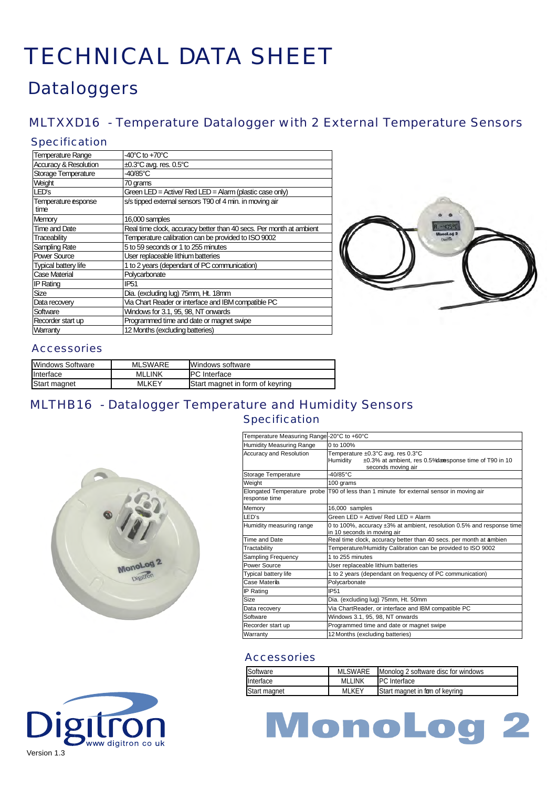## **Dataloggers**

## MLTXXD16 - Temperature Datalogger with 2 External Temperature Sensors

#### Specification

| <b>Temperature Range</b>         | $-40^{\circ}$ C to $+70^{\circ}$ C                                  |
|----------------------------------|---------------------------------------------------------------------|
| <b>Accuracy &amp; Resolution</b> | ±0.3°C avg. res. 0.5°C                                              |
| Storage Temperature              | 40/85°C                                                             |
| Weight                           | 70 grams                                                            |
| LED's                            | Green LED = Active/ Red LED = Alarm (plastic case only)             |
| Temperature esponse<br>time      | s/s tipped external sensors T90 of 4 min. in moving air             |
| Memory                           | 16,000 samples                                                      |
| Time and Date                    | Real time clock, accuracy better than 40 secs. Per month at ambient |
| Traceability                     | Temperature calibration can be provided to ISO 9002                 |
| Sampling Rate                    | 5 to 59 seconds or 1 to 255 minutes                                 |
| Power Source                     | User replaceable lithium batteries                                  |
| <b>Typical battery life</b>      | 1 to 2 years (dependant of PC communication)                        |
| Case Material                    | Polycarbonate                                                       |
| <b>IP Rating</b>                 | IP <sub>51</sub>                                                    |
| Size                             | Dia. (excluding lug) 75mm, Ht. 18mm                                 |
| Data recovery                    | Via Chart Reader or interface and IBM compatible PC                 |
| Software                         | Windows for 3.1, 95, 98, NT onwards                                 |
| Recorder start up                | Programmed time and date or magnet swipe                            |
| Warranty                         | 12 Months (excluding batteries)                                     |



#### **Accessories**

| Windows Software | <b>MLSWARE</b> | <b>IWindows software</b>        |
|------------------|----------------|---------------------------------|
| <b>Interface</b> | <b>MLLINK</b>  | <b>IPC</b> Interface            |
| Start magnet     | MLKEY          | Start magnet in form of keyring |

### MLTHB16 - Datalogger Temperature and Humidity Sensors Specification



www digitron co ul



#### **Accessories**

| Software     | <b>MLSWARE</b> | Monolog 2 software disc for windows    |
|--------------|----------------|----------------------------------------|
| Interface    | <b>MLLINK</b>  | <b>IPC</b> Interface                   |
| Start magnet | <b>MLKEY</b>   | <b>Start magnet in from of keyring</b> |

# MonoLog 2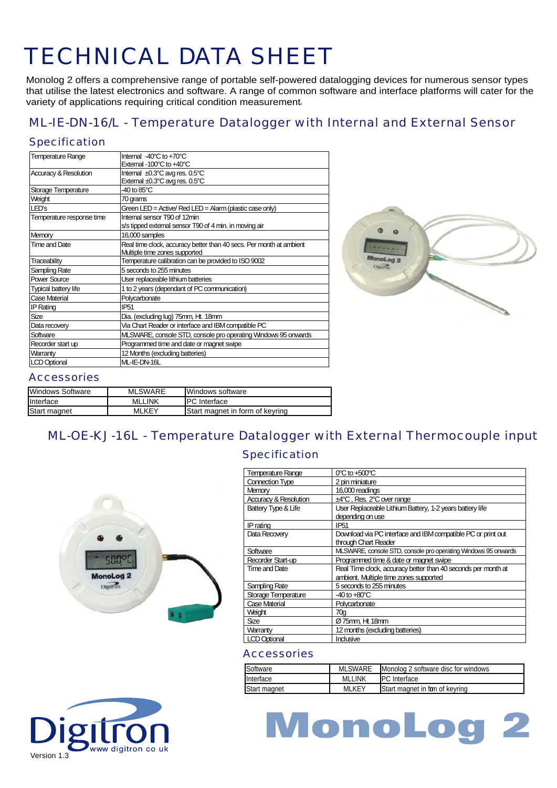Monolog 2 offers a comprehensive range of portable self-powered datalogging devices for numerous sensor types that utilise the latest electronics and software. A range of common software and interface platforms will cater for the variety of applications requiring critical condition measurement.

### ML-IE-DN-16/L - Temperature Datalogger with Internal and External Sensor

#### **Specification**

| <b>Temperature Range</b>         | Internal -40°C to +70°C                                             |
|----------------------------------|---------------------------------------------------------------------|
|                                  | External -100°C to +40°C                                            |
| <b>Accuracy &amp; Resolution</b> | Internal ±0.3°C avg res. 0.5°C                                      |
|                                  | External ±0.3°C avg res. 0.5°C                                      |
| Storage Temperature              | $-40$ to $85^{\circ}$ C                                             |
| Weight                           | 70 grams                                                            |
| LED's                            | Green LED = Active/ Red LED = Alarm (plastic case only)             |
| Temperature response time        | Internal sensor T90 of 12min                                        |
|                                  | s/s tipped external sensor T90 of 4 min. in moving air              |
| Memory                           | 16,000 samples                                                      |
| Time and Date                    | Real time clock, accuracy better than 40 secs. Per month at ambient |
|                                  | Multiple time zones supported                                       |
| Traceability                     | Temperature calibration can be provided to ISO 9002                 |
| Sampling Rate                    | 5 seconds to 255 minutes                                            |
| Power Source                     | User replaceable lithium batteries                                  |
| <b>Typical battery life</b>      | 1 to 2 years (dependant of PC communication)                        |
| Case Material                    | Polycarbonate                                                       |
| <b>IP Rating</b>                 | <b>IP51</b>                                                         |
| Size                             | Dia. (excluding lug) 75mm, Ht. 18mm                                 |
| Data recovery                    | Via Chart Reader or interface and IBM compatible PC                 |
| Software                         | MLSWARE, console STD, console pro operating Windows 95 onwards      |
| Recorder start up                | Programmed time and date or magnet swipe                            |
| Warranty                         | 12 Months (excluding batteries)                                     |
| <b>LCD Optional</b>              | ML-IE-DN-16L                                                        |



## Accessories

| Windows Software | <b>MLSWARE</b> | <b>IWindows software</b>        |
|------------------|----------------|---------------------------------|
| Interface        | <b>MLLINK</b>  | IPC Interface                   |
| Start magnet     | <b>MLKEY</b>   | Start magnet in form of keyring |

## ML-OE-KJ-16L - Temperature Datalogger with External Thermocouple input

#### Specification



| <b>Temperature Range</b> | $0^{\circ}$ C to +500 $^{\circ}$ C                             |
|--------------------------|----------------------------------------------------------------|
| <b>Connection Type</b>   | 2 pin miniature                                                |
| Memory                   | 16,000 readings                                                |
| Accuracy & Resolution    | $±4^{\circ}$ C, Res. $2^{\circ}$ C over range                  |
| Battery Type & Life      | User Replaceable Lithium Battery, 1-2 years battery life       |
|                          | depending on use                                               |
| IP rating                | IP <sub>51</sub>                                               |
| Data Recovery            | Download via PC interface and IBM compatible PC or print out   |
|                          | through Chart Reader                                           |
| Software                 | MLSWARE, console STD, console pro operating Windows 95 onwards |
| Recorder Start-up        | Programmed time & date or magnet swipe                         |
| Time and Date            | Real Time dock, accuracy better than 40 seconds per month at   |
|                          | ambient. Multiple time zones supported                         |
| Sampling Rate            | 5 seconds to 255 minutes                                       |
| Storage Temperature      | $-40$ to $+80^{\circ}$ C                                       |
| Case Material            | Polycarbonate                                                  |
| Weight                   | 70a                                                            |
| Size                     | Ø75mm, Ht 18mm                                                 |
| Warranty                 | 12 months (excluding batteries)                                |
| <b>LCD Optional</b>      | Indusive                                                       |

| Software         | <b>MLSWARE</b> | Monolog 2 software disc for windows |
|------------------|----------------|-------------------------------------|
| <b>Interface</b> | <b>MLLINK</b>  | <b>IPC</b> Interface                |
| Start magnet     | <b>MLKEY</b>   | Start magnet in fom of keyring      |



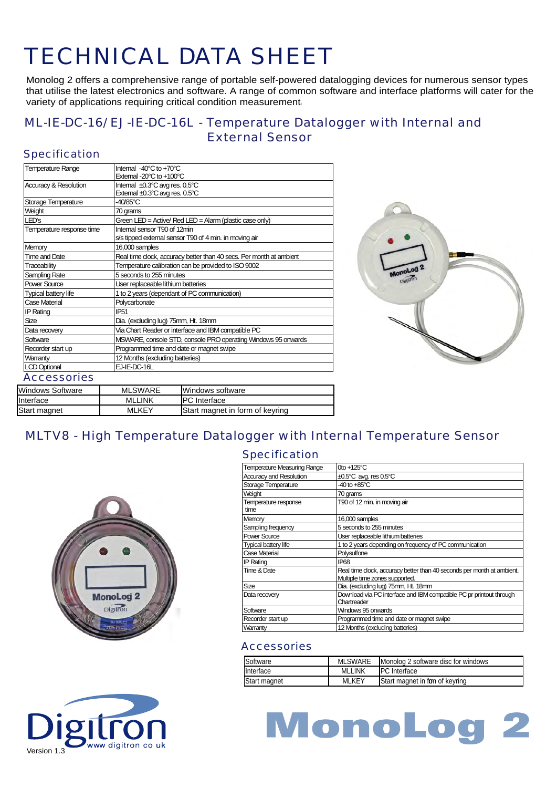Monolog 2 offers a comprehensive range of portable self-powered datalogging devices for numerous sensor types that utilise the latest electronics and software. A range of common software and interface platforms will cater for the variety of applications requiring critical condition measurement.

### ML-IE-DC-16/ EJ-IE-DC-16L - Temperature Datalogger with Internal and External Sensor

### **Specification**

| <b>Temperature Range</b>         | Internal -40°C to +70°C                                             |
|----------------------------------|---------------------------------------------------------------------|
|                                  | External -20°C to +100°C                                            |
| <b>Accuracy &amp; Resolution</b> | Internal ±0.3°C avg res. 0.5°C                                      |
|                                  | External ±0.3°C avg res. 0.5°C                                      |
| Storage Temperature              | $-40/85$ °C                                                         |
| Weight                           | 70 grams                                                            |
| LED's                            | Green LED = Active/ Red LED = Alarm (plastic case only)             |
| Temperature response time        | Internal sensor T90 of 12min                                        |
|                                  | s/s tipped external sensor T90 of 4 min. in moving air              |
| Memory                           | 16,000 samples                                                      |
| <b>Time and Date</b>             | Real time clock, accuracy better than 40 secs. Per month at ambient |
| Traceability                     | Temperature calibration can be provided to ISO 9002                 |
| Sampling Rate                    | 5 seconds to 255 minutes                                            |
| Power Source                     | User replaceable lithium batteries                                  |
| <b>Typical battery life</b>      | 1 to 2 years (dependant of PC communication)                        |
| Case Material                    | Polycarbonate                                                       |
| <b>IP Rating</b>                 | IP51                                                                |
| Size                             | Dia. (excluding lug) 75mm, Ht. 18mm                                 |
| Data recovery                    | Via Chart Reader or interface and IBM compatible PC                 |
| Software                         | MSWARE, console STD, console PRO operating Windows 95 onwards       |
| Recorder start up                | Programmed time and date or magnet swipe                            |
| Warranty                         | 12 Months (excluding batteries)                                     |
| <b>LCD Optional</b>              | EJ-IE-DC-16L                                                        |
| <b>Accessories</b>               |                                                                     |
| Mindows Software                 | MI SWARE<br><i>Windows</i> software                                 |



| Windows Software | MLSWARE      | <b>IWindows software</b>        |  |
|------------------|--------------|---------------------------------|--|
| Interface        | MLLINK       | IPC Interface                   |  |
| Start magnet     | <b>MLKEY</b> | Start magnet in form of keyring |  |
|                  |              |                                 |  |

## MLTV8 - High Temperature Datalogger with Internal Temperature Sensor







| Temperature Measuring Range    | 0to $+125^{\circ}$ C                                                                                     |
|--------------------------------|----------------------------------------------------------------------------------------------------------|
| <b>Accuracy and Resolution</b> | ±0.5°C avg. res 0.5°C                                                                                    |
| Storage Temperature            | -40 to +85°C                                                                                             |
| Weight                         | 70 grams                                                                                                 |
| Temperature response<br>time   | T90 of 12 min. in moving air                                                                             |
| Memory                         | 16,000 samples                                                                                           |
| Sampling frequency             | 5 seconds to 255 minutes                                                                                 |
| <b>Power Source</b>            | User replaceable lithium batteries                                                                       |
| Typical battery life           | 1 to 2 years depending on frequency of PC communication                                                  |
| Case Material                  | Polysulfone                                                                                              |
| <b>IP Rating</b>               | IP68                                                                                                     |
| Time & Date                    | Real time clock, accuracy better than 40 seconds per month at ambient.<br>Multiple time zones supported. |
| <b>Size</b>                    | Dia. (excluding lug) 75mm, Ht. 18mm                                                                      |
| Data recovery                  | Download via PC interface and IBM compatible PC pr printout through<br>Chartreader                       |
| Software                       | Windows 95 onwards                                                                                       |
| Recorder start up              | Programmed time and date or magnet swipe                                                                 |
| Warranty                       | 12 Months (excluding batteries)                                                                          |

| Software     | <b>MLSWARE</b> | Monolog 2 software disc for windows |
|--------------|----------------|-------------------------------------|
| Interface    | <b>MLLINK</b>  | <b>IPC</b> Interface                |
| Start magnet | <b>MLKEY</b>   | Start magnet in fom of keyring      |

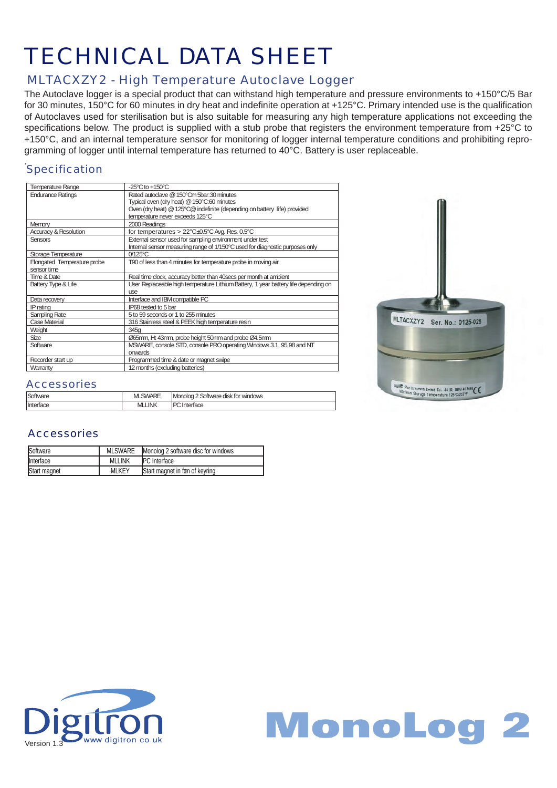### MLTACXZY2 - High Temperature Autoclave Logger

The Autoclave logger is a special product that can withstand high temperature and pressure environments to +150°C/5 Bar for 30 minutes, 150°C for 60 minutes in dry heat and indefinite operation at +125°C. Primary intended use is the qualification of Autoclaves used for sterilisation but is also suitable for measuring any high temperature applications not exceeding the specifications below. The product is supplied with a stub probe that registers the environment temperature from +25°C to +150°C, and an internal temperature sensor for monitoring of logger internal temperature conditions and prohibiting reprogramming of logger until internal temperature has returned to 40°C. Battery is user replaceable.

## **Specification**

| Temperature Range           | $-25^{\circ}$ C to $+150^{\circ}$ C                                                 |
|-----------------------------|-------------------------------------------------------------------------------------|
| <b>Endurance Ratings</b>    | Rated autodave @ 150°Cm 5bar:30 minutes                                             |
|                             | Typical oven (dry heat) @ 150°C:60 minutes                                          |
|                             | Oven (dry heat) @ 125°C@ indefinite (depending on battery life) provided            |
|                             | temperature never exceeds 125°C                                                     |
| Memory                      | 2000 Readings                                                                       |
| Accuracy & Resolution       | for temperatures > $22^{\circ}$ C $\pm$ 0.5°C Avg. Res. 0.5°C                       |
| <b>Sensors</b>              | External sensor used for sampling environment under test                            |
|                             | Internal sensor measuring range of 1/150°C used for diagnostic purposes only        |
| Storage Temperature         | $0/125$ °C                                                                          |
| Elongated Temperature probe | T90 of less than 4 minutes for temperature probe in moving air                      |
| sensor time                 |                                                                                     |
| Time & Date                 | Real time clock, accuracy better than 40 secs per month at ambient                  |
| Battery Type & Life         | User Replaceable high temperature Lithium Battery, 1 year battery life depending on |
|                             | <b>use</b>                                                                          |
| Data recovery               | Interface and IBM compatible PC                                                     |
| IP rating                   | IP68 tested to 5 bar                                                                |
| Sampling Rate               | 5 to 59 seconds or 1 to 255 minutes                                                 |
| <b>Case Material</b>        | 316 Stainless steel & PEEK high temperature resin                                   |
| Weight                      | 345a                                                                                |
| Size                        | Ø65mm, Ht 43mm, probe height 50mm and probe Ø4.5mm                                  |
| Software                    | MSWARE, console STD, console PRO operating Windows 3.1, 95,98 and NT                |
|                             | onwards                                                                             |
| Recorder start up           | Programmed time & date or magnet swipe                                              |
| Warranty                    | 12 months (excluding batteries)                                                     |



#### **Accessories**

| Software  | <b>SWARE</b><br>M | Monolog<br>! Software disk for windows |
|-----------|-------------------|----------------------------------------|
| Interface | <b>JNK</b><br>M   | m                                      |

| Software         | <b>MLSWARE</b> | Monolog 2 software disc for windows    |
|------------------|----------------|----------------------------------------|
| <b>Interface</b> | <b>MLLINK</b>  | <b>IPC</b> Interface                   |
| Start magnet     | <b>MLKEY</b>   | <b>Start magnet in form of keyring</b> |